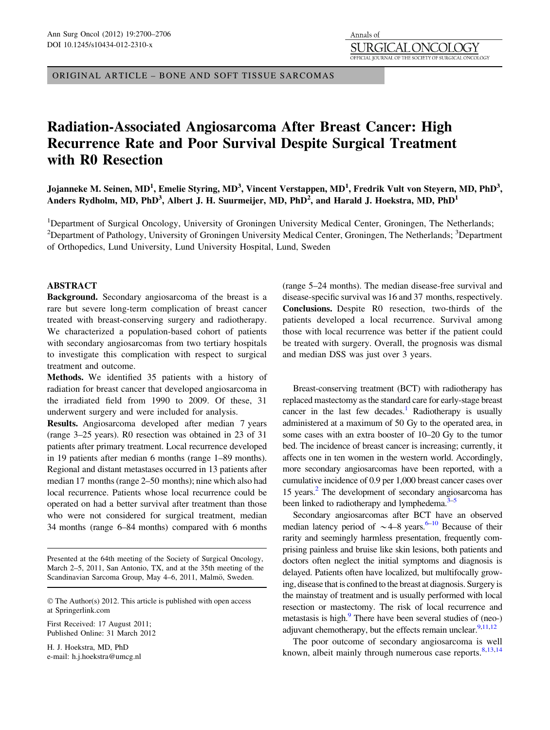| Annals of |                                                      |
|-----------|------------------------------------------------------|
|           | SURGICAL ONCOLOGY                                    |
|           | OFFICIAL JOURNAL OF THE SOCIETY OF SURGICAL ONCOLOGY |

ORIGINAL ARTICLE – BONE AND SOFT TISSUE SARCOMAS

# Radiation-Associated Angiosarcoma After Breast Cancer: High Recurrence Rate and Poor Survival Despite Surgical Treatment with R0 Resection

Jojanneke M. Seinen, MD<sup>1</sup>, Emelie Styring, MD<sup>3</sup>, Vincent Verstappen, MD<sup>1</sup>, Fredrik Vult von Steyern, MD, PhD<sup>3</sup>, Anders Rydholm, MD, PhD<sup>3</sup>, Albert J. H. Suurmeijer, MD, PhD<sup>2</sup>, and Harald J. Hoekstra, MD, PhD<sup>1</sup>

<sup>1</sup>Department of Surgical Oncology, University of Groningen University Medical Center, Groningen, The Netherlands; <sup>2</sup>Department of Pathology, University of Groningen University Medical Center, Groningen, The Netherlands; <sup>3</sup>Department of Orthopedics, Lund University, Lund University Hospital, Lund, Sweden

# ABSTRACT

Background. Secondary angiosarcoma of the breast is a rare but severe long-term complication of breast cancer treated with breast-conserving surgery and radiotherapy. We characterized a population-based cohort of patients with secondary angiosarcomas from two tertiary hospitals to investigate this complication with respect to surgical treatment and outcome.

Methods. We identified 35 patients with a history of radiation for breast cancer that developed angiosarcoma in the irradiated field from 1990 to 2009. Of these, 31 underwent surgery and were included for analysis.

Results. Angiosarcoma developed after median 7 years (range 3–25 years). R0 resection was obtained in 23 of 31 patients after primary treatment. Local recurrence developed in 19 patients after median 6 months (range 1–89 months). Regional and distant metastases occurred in 13 patients after median 17 months (range 2–50 months); nine which also had local recurrence. Patients whose local recurrence could be operated on had a better survival after treatment than those who were not considered for surgical treatment, median 34 months (range 6–84 months) compared with 6 months

First Received: 17 August 2011; Published Online: 31 March 2012

H. J. Hoekstra, MD, PhD e-mail: h.j.hoekstra@umcg.nl (range 5–24 months). The median disease-free survival and disease-specific survival was 16 and 37 months, respectively. Conclusions. Despite R0 resection, two-thirds of the patients developed a local recurrence. Survival among those with local recurrence was better if the patient could be treated with surgery. Overall, the prognosis was dismal and median DSS was just over 3 years.

Breast-conserving treatment (BCT) with radiotherapy has replaced mastectomy as the standard care for early-stage breast cancer in the last few decades.<sup>1</sup> Radiotherapy is usually administered at a maximum of 50 Gy to the operated area, in some cases with an extra booster of 10–20 Gy to the tumor bed. The incidence of breast cancer is increasing; currently, it affects one in ten women in the western world. Accordingly, more secondary angiosarcomas have been reported, with a cumulative incidence of 0.9 per 1,000 breast cancer cases over 15 years[.2](#page-5-0) The development of secondary angiosarcoma has been linked to radiotherapy and lymphedema.<sup>3–5</sup>

Secondary angiosarcomas after BCT have an observed median latency period of  $\sim$  4–8 years.<sup>6–10</sup> Because of their rarity and seemingly harmless presentation, frequently comprising painless and bruise like skin lesions, both patients and doctors often neglect the initial symptoms and diagnosis is delayed. Patients often have localized, but multifocally growing, disease that is confined to the breast at diagnosis. Surgery is the mainstay of treatment and is usually performed with local resection or mastectomy. The risk of local recurrence and metastasis is high. $9$  There have been several studies of (neo-) adjuvant chemotherapy, but the effects remain unclear.  $9,11,12$  $9,11,12$ 

The poor outcome of secondary angiosarcoma is well known, albeit mainly through numerous case reports. $8,13,14$  $8,13,14$ 

Presented at the 64th meeting of the Society of Surgical Oncology, March 2–5, 2011, San Antonio, TX, and at the 35th meeting of the Scandinavian Sarcoma Group, May 4–6, 2011, Malmö, Sweden.

<sup>©</sup> The Author(s) 2012. This article is published with open access at Springerlink.com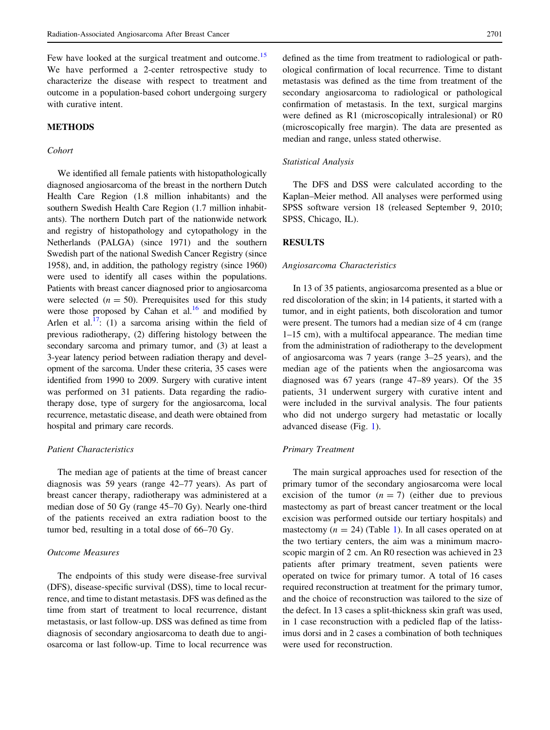Few have looked at the surgical treatment and outcome.<sup>[15](#page-6-0)</sup> We have performed a 2-center retrospective study to characterize the disease with respect to treatment and outcome in a population-based cohort undergoing surgery with curative intent.

# **METHODS**

### Cohort

We identified all female patients with histopathologically diagnosed angiosarcoma of the breast in the northern Dutch Health Care Region (1.8 million inhabitants) and the southern Swedish Health Care Region (1.7 million inhabitants). The northern Dutch part of the nationwide network and registry of histopathology and cytopathology in the Netherlands (PALGA) (since 1971) and the southern Swedish part of the national Swedish Cancer Registry (since 1958), and, in addition, the pathology registry (since 1960) were used to identify all cases within the populations. Patients with breast cancer diagnosed prior to angiosarcoma were selected ( $n = 50$ ). Prerequisites used for this study were those proposed by Cahan et al. $^{16}$  $^{16}$  $^{16}$  and modified by Arlen et al.<sup>17</sup>: (1) a sarcoma arising within the field of previous radiotherapy, (2) differing histology between the secondary sarcoma and primary tumor, and (3) at least a 3-year latency period between radiation therapy and development of the sarcoma. Under these criteria, 35 cases were identified from 1990 to 2009. Surgery with curative intent was performed on 31 patients. Data regarding the radiotherapy dose, type of surgery for the angiosarcoma, local recurrence, metastatic disease, and death were obtained from hospital and primary care records.

#### Patient Characteristics

The median age of patients at the time of breast cancer diagnosis was 59 years (range 42–77 years). As part of breast cancer therapy, radiotherapy was administered at a median dose of 50 Gy (range 45–70 Gy). Nearly one-third of the patients received an extra radiation boost to the tumor bed, resulting in a total dose of 66–70 Gy.

#### Outcome Measures

The endpoints of this study were disease-free survival (DFS), disease-specific survival (DSS), time to local recurrence, and time to distant metastasis. DFS was defined as the time from start of treatment to local recurrence, distant metastasis, or last follow-up. DSS was defined as time from diagnosis of secondary angiosarcoma to death due to angiosarcoma or last follow-up. Time to local recurrence was defined as the time from treatment to radiological or pathological confirmation of local recurrence. Time to distant metastasis was defined as the time from treatment of the secondary angiosarcoma to radiological or pathological confirmation of metastasis. In the text, surgical margins were defined as R1 (microscopically intralesional) or R0 (microscopically free margin). The data are presented as median and range, unless stated otherwise.

#### Statistical Analysis

The DFS and DSS were calculated according to the Kaplan–Meier method. All analyses were performed using SPSS software version 18 (released September 9, 2010; SPSS, Chicago, IL).

## RESULTS

#### Angiosarcoma Characteristics

In 13 of 35 patients, angiosarcoma presented as a blue or red discoloration of the skin; in 14 patients, it started with a tumor, and in eight patients, both discoloration and tumor were present. The tumors had a median size of 4 cm (range 1–15 cm), with a multifocal appearance. The median time from the administration of radiotherapy to the development of angiosarcoma was 7 years (range 3–25 years), and the median age of the patients when the angiosarcoma was diagnosed was 67 years (range 47–89 years). Of the 35 patients, 31 underwent surgery with curative intent and were included in the survival analysis. The four patients who did not undergo surgery had metastatic or locally advanced disease (Fig. [1\)](#page-2-0).

#### Primary Treatment

The main surgical approaches used for resection of the primary tumor of the secondary angiosarcoma were local excision of the tumor  $(n = 7)$  (either due to previous mastectomy as part of breast cancer treatment or the local excision was performed outside our tertiary hospitals) and mastectomy  $(n = 24)$  (Table [1\)](#page-2-0). In all cases operated on at the two tertiary centers, the aim was a minimum macroscopic margin of 2 cm. An R0 resection was achieved in 23 patients after primary treatment, seven patients were operated on twice for primary tumor. A total of 16 cases required reconstruction at treatment for the primary tumor, and the choice of reconstruction was tailored to the size of the defect. In 13 cases a split-thickness skin graft was used, in 1 case reconstruction with a pedicled flap of the latissimus dorsi and in 2 cases a combination of both techniques were used for reconstruction.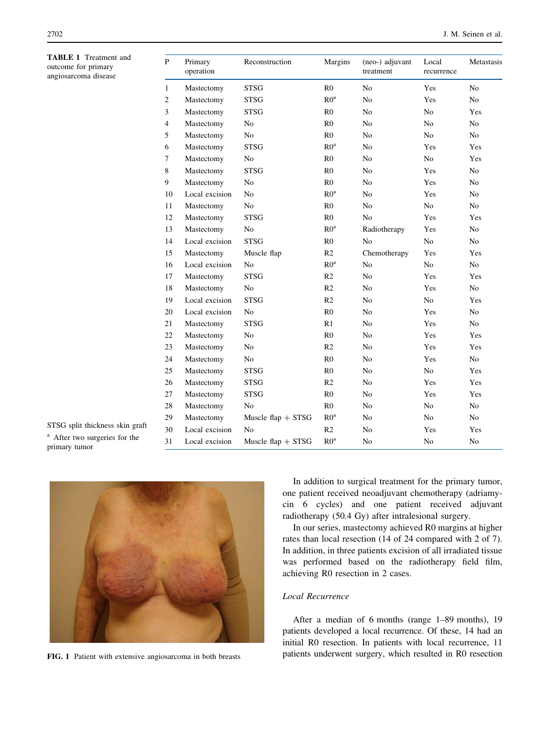<span id="page-2-0"></span>TABLE 1 Treatment and outcome for primary angiosarcoma disease

| P            | Primary<br>operation | Reconstruction       | Margins                    | (neo-) adjuvant<br>treatment | Local<br>recurrence | Metastasis     |
|--------------|----------------------|----------------------|----------------------------|------------------------------|---------------------|----------------|
| $\mathbf{1}$ | Mastectomy           | <b>STSG</b>          | R <sub>0</sub>             | N <sub>o</sub>               | Yes                 | N <sub>o</sub> |
| 2            | Mastectomy           | <b>STSG</b>          | $\mathrm{R0}^{\mathrm{a}}$ | N <sub>o</sub>               | Yes                 | N <sub>o</sub> |
| 3            | Mastectomy           | <b>STSG</b>          | R <sub>0</sub>             | N <sub>o</sub>               | N <sub>o</sub>      | Yes            |
| 4            | Mastectomy           | No                   | R <sub>0</sub>             | N <sub>0</sub>               | No                  | No             |
| 5            | Mastectomy           | No                   | R <sub>0</sub>             | No                           | No                  | No             |
| 6            | Mastectomy           | <b>STSG</b>          | $R0^a$                     | N <sub>o</sub>               | Yes                 | Yes            |
| 7            | Mastectomy           | No                   | R <sub>0</sub>             | N <sub>o</sub>               | N <sub>o</sub>      | Yes            |
| 8            | Mastectomy           | <b>STSG</b>          | R <sub>0</sub>             | N <sub>o</sub>               | Yes                 | N <sub>o</sub> |
| 9            | Mastectomy           | N <sub>o</sub>       | R <sub>0</sub>             | N <sub>o</sub>               | Yes                 | N <sub>o</sub> |
| 10           | Local excision       | N <sub>o</sub>       | $R0^a$                     | N <sub>o</sub>               | Yes                 | N <sub>o</sub> |
| 11           | Mastectomy           | No                   | R <sub>0</sub>             | N <sub>o</sub>               | N <sub>o</sub>      | No             |
| 12           | Mastectomy           | STSG                 | R <sub>0</sub>             | No                           | Yes                 | Yes            |
| 13           | Mastectomy           | N <sub>o</sub>       | $R0^a$                     | Radiotherapy                 | Yes                 | No             |
| 14           | Local excision       | <b>STSG</b>          | R <sub>0</sub>             | N <sub>o</sub>               | N <sub>o</sub>      | No             |
| 15           | Mastectomy           | Muscle flap          | R2                         | Chemotherapy                 | Yes                 | Yes            |
| 16           | Local excision       | No                   | $R0^a$                     | N <sub>o</sub>               | N <sub>o</sub>      | N <sub>o</sub> |
| 17           | Mastectomy           | <b>STSG</b>          | R <sub>2</sub>             | N <sub>o</sub>               | Yes                 | Yes            |
| 18           | Mastectomy           | No                   | R <sub>2</sub>             | N <sub>0</sub>               | Yes                 | N <sub>o</sub> |
| 19           | Local excision       | <b>STSG</b>          | R <sub>2</sub>             | No                           | N <sub>0</sub>      | Yes            |
| 20           | Local excision       | No                   | R <sub>0</sub>             | N <sub>o</sub>               | Yes                 | No             |
| 21           | Mastectomy           | <b>STSG</b>          | R1                         | N <sub>o</sub>               | Yes                 | No             |
| 22           | Mastectomy           | N <sub>o</sub>       | R <sub>0</sub>             | N <sub>o</sub>               | Yes                 | Yes            |
| 23           | Mastectomy           | N <sub>o</sub>       | R <sub>2</sub>             | N <sub>o</sub>               | Yes                 | Yes            |
| 24           | Mastectomy           | N <sub>o</sub>       | R <sub>0</sub>             | N <sub>o</sub>               | Yes                 | N <sub>o</sub> |
| 25           | Mastectomy           | <b>STSG</b>          | R <sub>0</sub>             | No                           | N <sub>o</sub>      | Yes            |
| 26           | Mastectomy           | <b>STSG</b>          | R <sub>2</sub>             | No                           | Yes                 | Yes            |
| 27           | Mastectomy           | <b>STSG</b>          | R <sub>0</sub>             | N <sub>o</sub>               | Yes                 | Yes            |
| 28           | Mastectomy           | No                   | R <sub>0</sub>             | N <sub>o</sub>               | No                  | N <sub>o</sub> |
| 29           | Mastectomy           | Muscle flap $+$ STSG | R0 <sup>a</sup>            | $\rm No$                     | N <sub>o</sub>      | N <sub>o</sub> |
| 30           | Local excision       | N <sub>o</sub>       | R <sub>2</sub>             | N <sub>o</sub>               | Yes                 | Yes            |
| 31           | Local excision       | Muscle flap $+$ STSG | $R0^a$                     | No                           | No                  | No             |

STSG split thickness skin graft <sup>a</sup> After two surgeries for the primary tumor



In addition to surgical treatment for the primary tumor, one patient received neoadjuvant chemotherapy (adriamycin 6 cycles) and one patient received adjuvant radiotherapy (50.4 Gy) after intralesional surgery.

In our series, mastectomy achieved R0 margins at higher rates than local resection (14 of 24 compared with 2 of 7). In addition, in three patients excision of all irradiated tissue was performed based on the radiotherapy field film, achieving R0 resection in 2 cases.

# Local Recurrence

After a median of 6 months (range 1–89 months), 19 patients developed a local recurrence. Of these, 14 had an initial R0 resection. In patients with local recurrence, 11 FIG. 1 Patient with extensive angiosarcoma in both breasts patients underwent surgery, which resulted in R0 resection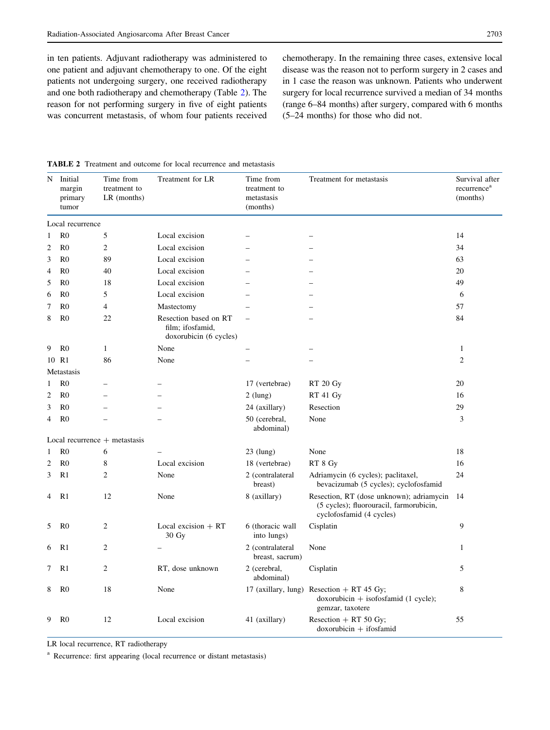<span id="page-3-0"></span>in ten patients. Adjuvant radiotherapy was administered to one patient and adjuvant chemotherapy to one. Of the eight patients not undergoing surgery, one received radiotherapy and one both radiotherapy and chemotherapy (Table 2). The reason for not performing surgery in five of eight patients was concurrent metastasis, of whom four patients received chemotherapy. In the remaining three cases, extensive local disease was the reason not to perform surgery in 2 cases and in 1 case the reason was unknown. Patients who underwent surgery for local recurrence survived a median of 34 months (range 6–84 months) after surgery, compared with 6 months (5–24 months) for those who did not.

| N              | Initial<br>margin<br>primary<br>tumor | Time from<br>treatment to<br>$LR$ (months) | Treatment for LR                                                    | Time from<br>treatment to<br>metastasis<br>(months) | Treatment for metastasis                                                                                        | Survival after<br>recurrence <sup>a</sup><br>(months) |
|----------------|---------------------------------------|--------------------------------------------|---------------------------------------------------------------------|-----------------------------------------------------|-----------------------------------------------------------------------------------------------------------------|-------------------------------------------------------|
|                | Local recurrence                      |                                            |                                                                     |                                                     |                                                                                                                 |                                                       |
| $\mathbf{1}$   | R <sub>0</sub>                        | 5                                          | Local excision                                                      |                                                     |                                                                                                                 | 14                                                    |
| $\overline{2}$ | R <sub>0</sub>                        | $\overline{2}$                             | Local excision                                                      |                                                     |                                                                                                                 | 34                                                    |
| $\mathfrak{Z}$ | R <sub>0</sub>                        | 89                                         | Local excision                                                      |                                                     |                                                                                                                 | 63                                                    |
| 4              | R <sub>0</sub>                        | 40                                         | Local excision                                                      |                                                     |                                                                                                                 | 20                                                    |
| 5              | R <sub>0</sub>                        | 18                                         | Local excision                                                      |                                                     |                                                                                                                 | 49                                                    |
| 6              | R <sub>0</sub>                        | 5                                          | Local excision                                                      |                                                     |                                                                                                                 | 6                                                     |
| 7              | R <sub>0</sub>                        | $\overline{4}$                             | Mastectomy                                                          |                                                     |                                                                                                                 | 57                                                    |
| 8              | R <sub>0</sub>                        | 22                                         | Resection based on RT<br>film; ifosfamid,<br>doxorubicin (6 cycles) | $\overline{\phantom{0}}$                            |                                                                                                                 | 84                                                    |
| 9              | R <sub>0</sub>                        | $\mathbf{1}$                               | None                                                                |                                                     |                                                                                                                 | $\mathbf{1}$                                          |
|                | 10 R1                                 | 86                                         | None                                                                |                                                     |                                                                                                                 | 2                                                     |
|                | Metastasis                            |                                            |                                                                     |                                                     |                                                                                                                 |                                                       |
| $\mathbf{1}$   | R <sub>0</sub>                        |                                            |                                                                     | 17 (vertebrae)                                      | RT 20 Gy                                                                                                        | 20                                                    |
| $\overline{2}$ | R <sub>0</sub>                        |                                            |                                                                     | $2 \text{ (lung)}$                                  | RT 41 Gy                                                                                                        | 16                                                    |
| 3              | R <sub>0</sub>                        |                                            |                                                                     | 24 (axillary)                                       | Resection                                                                                                       | 29                                                    |
| 4              | R <sub>0</sub>                        |                                            |                                                                     | 50 (cerebral,<br>abdominal)                         | None                                                                                                            | 3                                                     |
|                |                                       | $Local recurrence + metastasis$            |                                                                     |                                                     |                                                                                                                 |                                                       |
| $\mathbf{1}$   | R <sub>0</sub>                        | 6                                          |                                                                     | $23 \;$ (lung)                                      | None                                                                                                            | 18                                                    |
| $\overline{2}$ | R <sub>0</sub>                        | 8                                          | Local excision                                                      | 18 (vertebrae)                                      | RT 8 Gy                                                                                                         | 16                                                    |
| 3              | R1                                    | $\mathfrak{2}$                             | None                                                                | 2 (contralateral<br>breast)                         | Adriamycin (6 cycles); paclitaxel,<br>bevacizumab (5 cycles); cyclofosfamid                                     | 24                                                    |
| 4              | R1                                    | 12                                         | None                                                                | 8 (axillary)                                        | Resection, RT (dose unknown); adriamycin<br>(5 cycles); fluorouracil, farmorubicin,<br>cyclofosfamid (4 cycles) | 14                                                    |
| 5              | R <sub>0</sub>                        | $\overline{2}$                             | Local excision $+ RT$<br>30 Gy                                      | 6 (thoracic wall<br>into lungs)                     | Cisplatin                                                                                                       | 9                                                     |
| 6              | R <sub>1</sub>                        | $\overline{2}$                             | $\overline{\phantom{0}}$                                            | 2 (contralateral<br>breast, sacrum)                 | None                                                                                                            | $\mathbf{1}$                                          |
| 7              | R1                                    | $\overline{c}$                             | RT, dose unknown                                                    | 2 (cerebral,<br>abdominal)                          | Cisplatin                                                                                                       | 5                                                     |
| 8              | R <sub>0</sub>                        | 18                                         | None                                                                |                                                     | 17 (axillary, lung) Resection $+ RT 45 Gy$ ;<br>$doxorubicin$ + isofosfamid (1 cycle);<br>gemzar, taxotere      | 8                                                     |
| 9              | R <sub>0</sub>                        | 12                                         | Local excision                                                      | 41 (axillary)                                       | Resection $+$ RT 50 Gy;<br>$doxorubicin$ + ifosfamid                                                            | 55                                                    |

TABLE 2 Treatment and outcome for local recurrence and metastasis

LR local recurrence, RT radiotherapy

<sup>a</sup> Recurrence: first appearing (local recurrence or distant metastasis)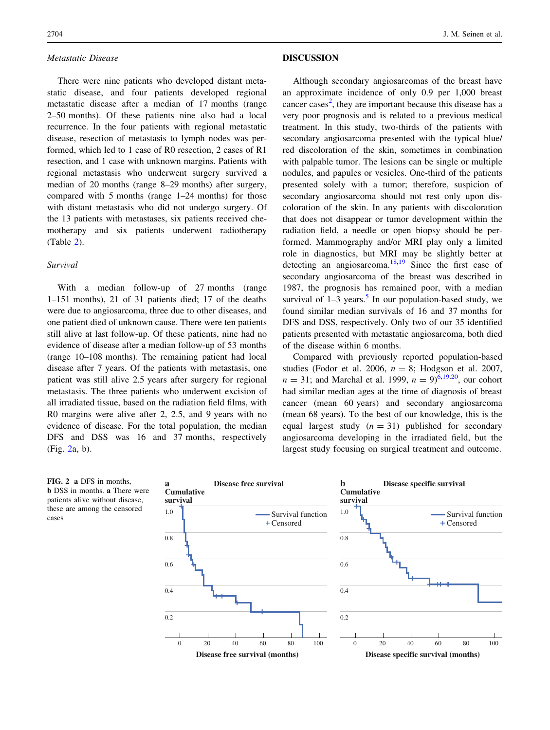### Metastatic Disease

There were nine patients who developed distant metastatic disease, and four patients developed regional metastatic disease after a median of 17 months (range 2–50 months). Of these patients nine also had a local recurrence. In the four patients with regional metastatic disease, resection of metastasis to lymph nodes was performed, which led to 1 case of R0 resection, 2 cases of R1 resection, and 1 case with unknown margins. Patients with regional metastasis who underwent surgery survived a median of 20 months (range 8–29 months) after surgery, compared with 5 months (range 1–24 months) for those with distant metastasis who did not undergo surgery. Of the 13 patients with metastases, six patients received chemotherapy and six patients underwent radiotherapy (Table [2](#page-3-0)).

#### Survival

With a median follow-up of 27 months (range 1–151 months), 21 of 31 patients died; 17 of the deaths were due to angiosarcoma, three due to other diseases, and one patient died of unknown cause. There were ten patients still alive at last follow-up. Of these patients, nine had no evidence of disease after a median follow-up of 53 months (range 10–108 months). The remaining patient had local disease after 7 years. Of the patients with metastasis, one patient was still alive 2.5 years after surgery for regional metastasis. The three patients who underwent excision of all irradiated tissue, based on the radiation field films, with R0 margins were alive after 2, 2.5, and 9 years with no evidence of disease. For the total population, the median DFS and DSS was 16 and 37 months, respectively (Fig. 2a, b).

#### DISCUSSION

Although secondary angiosarcomas of the breast have an approximate incidence of only 0.9 per 1,000 breast cancer cases<sup>[2](#page-5-0)</sup>, they are important because this disease has a very poor prognosis and is related to a previous medical treatment. In this study, two-thirds of the patients with secondary angiosarcoma presented with the typical blue/ red discoloration of the skin, sometimes in combination with palpable tumor. The lesions can be single or multiple nodules, and papules or vesicles. One-third of the patients presented solely with a tumor; therefore, suspicion of secondary angiosarcoma should not rest only upon discoloration of the skin. In any patients with discoloration that does not disappear or tumor development within the radiation field, a needle or open biopsy should be performed. Mammography and/or MRI play only a limited role in diagnostics, but MRI may be slightly better at detecting an angiosarcoma.<sup>[18,19](#page-6-0)</sup> Since the first case of secondary angiosarcoma of the breast was described in 1987, the prognosis has remained poor, with a median survival of  $1-3$  years.<sup>[5](#page-5-0)</sup> In our population-based study, we found similar median survivals of 16 and 37 months for DFS and DSS, respectively. Only two of our 35 identified patients presented with metastatic angiosarcoma, both died of the disease within 6 months.

Compared with previously reported population-based studies (Fodor et al. 2006,  $n = 8$ ; Hodgson et al. 2007,  $n = 31$ ; and Marchal et al. 1999,  $n = 9$ <sup>[6](#page-5-0)[,19,20](#page-6-0)</sup>, our cohort had similar median ages at the time of diagnosis of breast cancer (mean 60 years) and secondary angiosarcoma (mean 68 years). To the best of our knowledge, this is the equal largest study  $(n = 31)$  published for secondary angiosarcoma developing in the irradiated field, but the largest study focusing on surgical treatment and outcome.



FIG. 2 a DFS in months, b DSS in months. a There were patients alive without disease, these are among the censored cases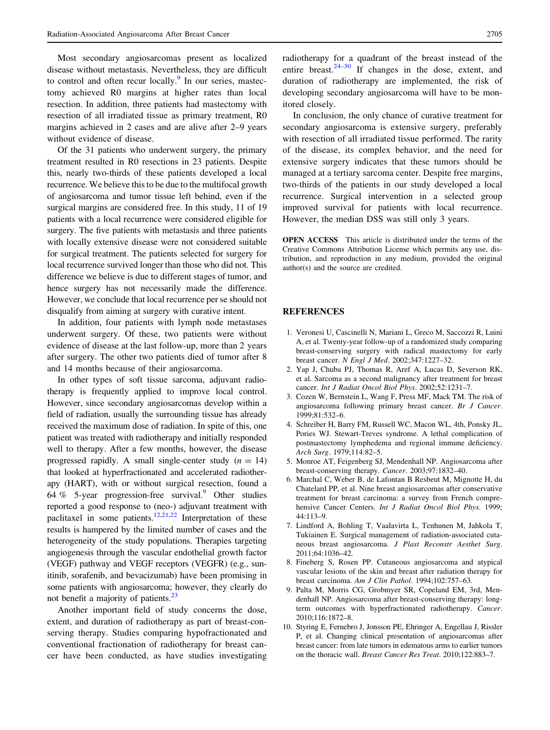<span id="page-5-0"></span>Most secondary angiosarcomas present as localized disease without metastasis. Nevertheless, they are difficult to control and often recur locally. $\frac{9}{10}$  In our series, mastectomy achieved R0 margins at higher rates than local resection. In addition, three patients had mastectomy with resection of all irradiated tissue as primary treatment, R0 margins achieved in 2 cases and are alive after 2–9 years without evidence of disease.

Of the 31 patients who underwent surgery, the primary treatment resulted in R0 resections in 23 patients. Despite this, nearly two-thirds of these patients developed a local recurrence. We believe this to be due to the multifocal growth of angiosarcoma and tumor tissue left behind, even if the surgical margins are considered free. In this study, 11 of 19 patients with a local recurrence were considered eligible for surgery. The five patients with metastasis and three patients with locally extensive disease were not considered suitable for surgical treatment. The patients selected for surgery for local recurrence survived longer than those who did not. This difference we believe is due to different stages of tumor, and hence surgery has not necessarily made the difference. However, we conclude that local recurrence per se should not disqualify from aiming at surgery with curative intent.

In addition, four patients with lymph node metastases underwent surgery. Of these, two patients were without evidence of disease at the last follow-up, more than 2 years after surgery. The other two patients died of tumor after 8 and 14 months because of their angiosarcoma.

In other types of soft tissue sarcoma, adjuvant radiotherapy is frequently applied to improve local control. However, since secondary angiosarcomas develop within a field of radiation, usually the surrounding tissue has already received the maximum dose of radiation. In spite of this, one patient was treated with radiotherapy and initially responded well to therapy. After a few months, however, the disease progressed rapidly. A small single-center study  $(n = 14)$ that looked at hyperfractionated and accelerated radiotherapy (HART), with or without surgical resection, found a 64 % 5-year progression-free survival. Other studies reported a good response to (neo-) adjuvant treatment with paclitaxel in some patients.<sup>12,21,22</sup> Interpretation of these results is hampered by the limited number of cases and the heterogeneity of the study populations. Therapies targeting angiogenesis through the vascular endothelial growth factor (VEGF) pathway and VEGF receptors (VEGFR) (e.g., sunitinib, sorafenib, and bevacizumab) have been promising in some patients with angiosarcoma; however, they clearly do not benefit a majority of patients.<sup>23</sup>

Another important field of study concerns the dose, extent, and duration of radiotherapy as part of breast-conserving therapy. Studies comparing hypofractionated and conventional fractionation of radiotherapy for breast cancer have been conducted, as have studies investigating radiotherapy for a quadrant of the breast instead of the entire breast. $24-30$  $24-30$  $24-30$  If changes in the dose, extent, and duration of radiotherapy are implemented, the risk of developing secondary angiosarcoma will have to be monitored closely.

In conclusion, the only chance of curative treatment for secondary angiosarcoma is extensive surgery, preferably with resection of all irradiated tissue performed. The rarity of the disease, its complex behavior, and the need for extensive surgery indicates that these tumors should be managed at a tertiary sarcoma center. Despite free margins, two-thirds of the patients in our study developed a local recurrence. Surgical intervention in a selected group improved survival for patients with local recurrence. However, the median DSS was still only 3 years.

OPEN ACCESS This article is distributed under the terms of the Creative Commons Attribution License which permits any use, distribution, and reproduction in any medium, provided the original author(s) and the source are credited.

# **REFERENCES**

- 1. Veronesi U, Cascinelli N, Mariani L, Greco M, Saccozzi R, Luini A, et al. Twenty-year follow-up of a randomized study comparing breast-conserving surgery with radical mastectomy for early breast cancer. N Engl J Med. 2002;347:1227–32.
- 2. Yap J, Chuba PJ, Thomas R, Aref A, Lucas D, Severson RK, et al. Sarcoma as a second malignancy after treatment for breast cancer. Int J Radiat Oncol Biol Phys. 2002;52:1231–7.
- 3. Cozen W, Bernstein L, Wang F, Press MF, Mack TM. The risk of angiosarcoma following primary breast cancer. Br J Cancer. 1999;81:532–6.
- 4. Schreiber H, Barry FM, Russell WC, Macon WL, 4th, Ponsky JL, Pories WJ. Stewart-Treves syndrome. A lethal complication of postmastectomy lymphedema and regional immune deficiency. Arch Surg. 1979;114:82–5.
- 5. Monroe AT, Feigenberg SJ, Mendenhall NP. Angiosarcoma after breast-conserving therapy. Cancer. 2003;97:1832–40.
- 6. Marchal C, Weber B, de Lafontan B Resbeut M, Mignotte H, du Chatelard PP, et al. Nine breast angiosarcomas after conservative treatment for breast carcinoma: a survey from French comprehensive Cancer Centers. Int J Radiat Oncol Biol Phys. 1999;  $44.113 - 9$
- 7. Lindford A, Bohling T, Vaalavirta L, Tenhunen M, Jahkola T, Tukiainen E. Surgical management of radiation-associated cutaneous breast angiosarcoma. J Plast Reconstr Aesthet Surg. 2011;64:1036–42.
- 8. Fineberg S, Rosen PP. Cutaneous angiosarcoma and atypical vascular lesions of the skin and breast after radiation therapy for breast carcinoma. Am J Clin Pathol. 1994;102:757–63.
- 9. Palta M, Morris CG, Grobmyer SR, Copeland EM, 3rd, Mendenhall NP. Angiosarcoma after breast-conserving therapy: longterm outcomes with hyperfractionated radiotherapy. Cancer. 2010;116:1872–8.
- 10. Styring E, Fernebro J, Jonsson PE, Ehringer A, Engellau J, Rissler P, et al. Changing clinical presentation of angiosarcomas after breast cancer: from late tumors in edematous arms to earlier tumors on the thoracic wall. Breast Cancer Res Treat. 2010;122:883–7.